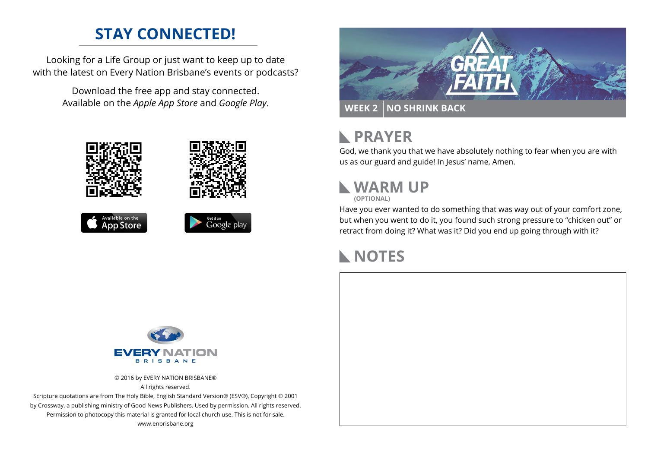## **STAY CONNECTED!**

Looking for a Life Group or just want to keep up to date with the latest on Every Nation Brisbane's events or podcasts?

> Download the free app and stay connected. Available on the *Apple App Store* and *Google Play*.











#### **PRAYER**  $\mathbb{R}$

God, we thank you that we have absolutely nothing to fear when you are with us as our guard and guide! In Jesus' name, Amen.

#### **WARM UP (OPTIONAL)**

Have you ever wanted to do something that was way out of your comfort zone, but when you went to do it, you found such strong pressure to "chicken out" or retract from doing it? What was it? Did you end up going through with it?

#### **NOTES**



© 2016 by EVERY NATION BRISBANE® All rights reserved.

Scripture quotations are from The Holy Bible, English Standard Version® (ESV®), Copyright © 2001 by Crossway, a publishing ministry of Good News Publishers. Used by permission. All rights reserved. Permission to photocopy this material is granted for local church use. This is not for sale. www.enbrisbane.org